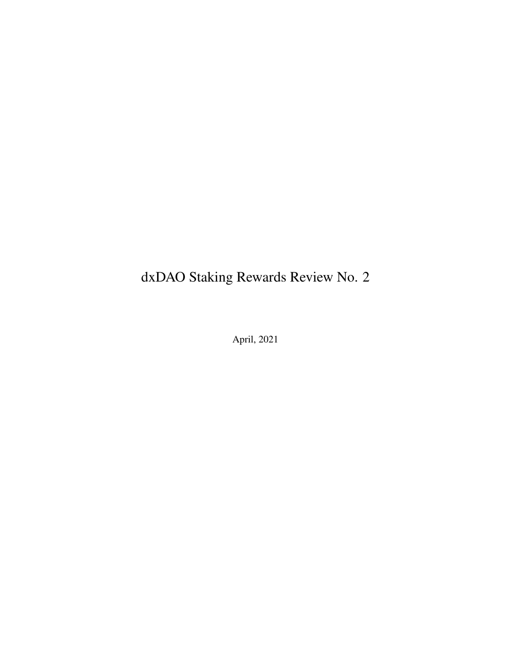# dxDAO Staking Rewards Review No. 2

April, 2021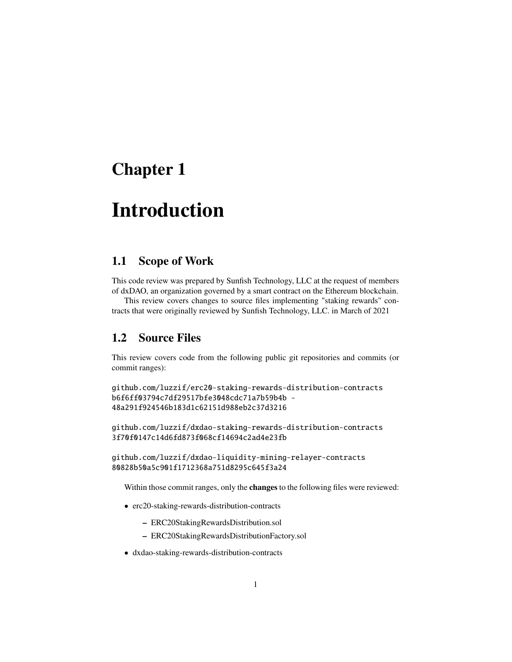## Chapter 1

# Introduction

### 1.1 Scope of Work

This code review was prepared by Sunfish Technology, LLC at the request of members of dxDAO, an organization governed by a smart contract on the Ethereum blockchain.

This review covers changes to source files implementing "staking rewards" contracts that were originally reviewed by Sunfish Technology, LLC. in March of 2021

#### 1.2 Source Files

This review covers code from the following public git repositories and commits (or commit ranges):

```
github.com/luzzif/erc20-staking-rewards-distribution-contracts
b6f6ff03794c7df29517bfe3048cdc71a7b59b4b -
48a291f924546b183d1c62151d988eb2c37d3216
```
github.com/luzzif/dxdao-staking-rewards-distribution-contracts 3f70f0147c14d6fd873f068cf14694c2ad4e23fb

```
github.com/luzzif/dxdao-liquidity-mining-relayer-contracts
80828b50a5c901f1712368a751d8295c645f3a24
```
Within those commit ranges, only the **changes** to the following files were reviewed:

- erc20-staking-rewards-distribution-contracts
	- ERC20StakingRewardsDistribution.sol
	- ERC20StakingRewardsDistributionFactory.sol
- dxdao-staking-rewards-distribution-contracts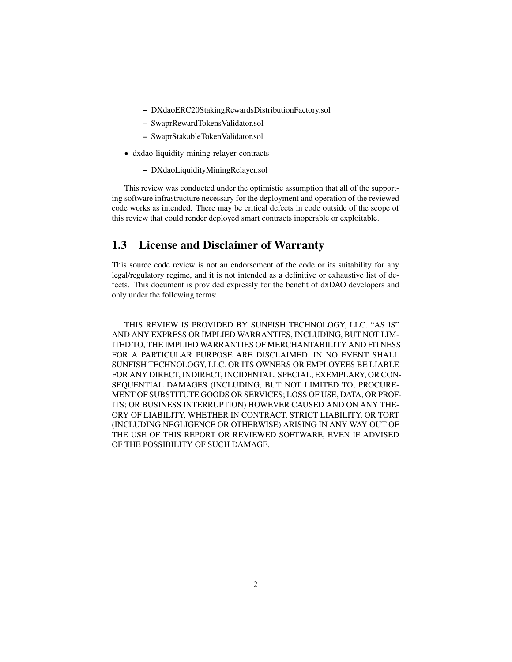- DXdaoERC20StakingRewardsDistributionFactory.sol
- SwaprRewardTokensValidator.sol
- SwaprStakableTokenValidator.sol
- dxdao-liquidity-mining-relayer-contracts
	- DXdaoLiquidityMiningRelayer.sol

This review was conducted under the optimistic assumption that all of the supporting software infrastructure necessary for the deployment and operation of the reviewed code works as intended. There may be critical defects in code outside of the scope of this review that could render deployed smart contracts inoperable or exploitable.

### 1.3 License and Disclaimer of Warranty

This source code review is not an endorsement of the code or its suitability for any legal/regulatory regime, and it is not intended as a definitive or exhaustive list of defects. This document is provided expressly for the benefit of dxDAO developers and only under the following terms:

THIS REVIEW IS PROVIDED BY SUNFISH TECHNOLOGY, LLC. "AS IS" AND ANY EXPRESS OR IMPLIED WARRANTIES, INCLUDING, BUT NOT LIM-ITED TO, THE IMPLIED WARRANTIES OF MERCHANTABILITY AND FITNESS FOR A PARTICULAR PURPOSE ARE DISCLAIMED. IN NO EVENT SHALL SUNFISH TECHNOLOGY, LLC. OR ITS OWNERS OR EMPLOYEES BE LIABLE FOR ANY DIRECT, INDIRECT, INCIDENTAL, SPECIAL, EXEMPLARY, OR CON-SEQUENTIAL DAMAGES (INCLUDING, BUT NOT LIMITED TO, PROCURE-MENT OF SUBSTITUTE GOODS OR SERVICES; LOSS OF USE, DATA, OR PROF-ITS; OR BUSINESS INTERRUPTION) HOWEVER CAUSED AND ON ANY THE-ORY OF LIABILITY, WHETHER IN CONTRACT, STRICT LIABILITY, OR TORT (INCLUDING NEGLIGENCE OR OTHERWISE) ARISING IN ANY WAY OUT OF THE USE OF THIS REPORT OR REVIEWED SOFTWARE, EVEN IF ADVISED OF THE POSSIBILITY OF SUCH DAMAGE.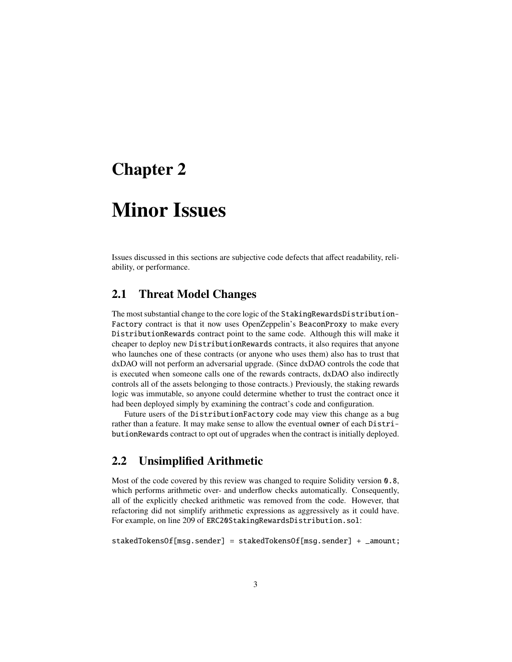## Chapter 2

# Minor Issues

Issues discussed in this sections are subjective code defects that affect readability, reliability, or performance.

#### 2.1 Threat Model Changes

The most substantial change to the core logic of the StakingRewardsDistribution-Factory contract is that it now uses OpenZeppelin's BeaconProxy to make every DistributionRewards contract point to the same code. Although this will make it cheaper to deploy new DistributionRewards contracts, it also requires that anyone who launches one of these contracts (or anyone who uses them) also has to trust that dxDAO will not perform an adversarial upgrade. (Since dxDAO controls the code that is executed when someone calls one of the rewards contracts, dxDAO also indirectly controls all of the assets belonging to those contracts.) Previously, the staking rewards logic was immutable, so anyone could determine whether to trust the contract once it had been deployed simply by examining the contract's code and configuration.

Future users of the DistributionFactory code may view this change as a bug rather than a feature. It may make sense to allow the eventual owner of each DistributionRewards contract to opt out of upgrades when the contract is initially deployed.

### 2.2 Unsimplified Arithmetic

Most of the code covered by this review was changed to require Solidity version 0.8, which performs arithmetic over- and underflow checks automatically. Consequently, all of the explicitly checked arithmetic was removed from the code. However, that refactoring did not simplify arithmetic expressions as aggressively as it could have. For example, on line 209 of ERC20StakingRewardsDistribution.sol:

stakedTokensOf[msg.sender] = stakedTokensOf[msg.sender] + \_amount;